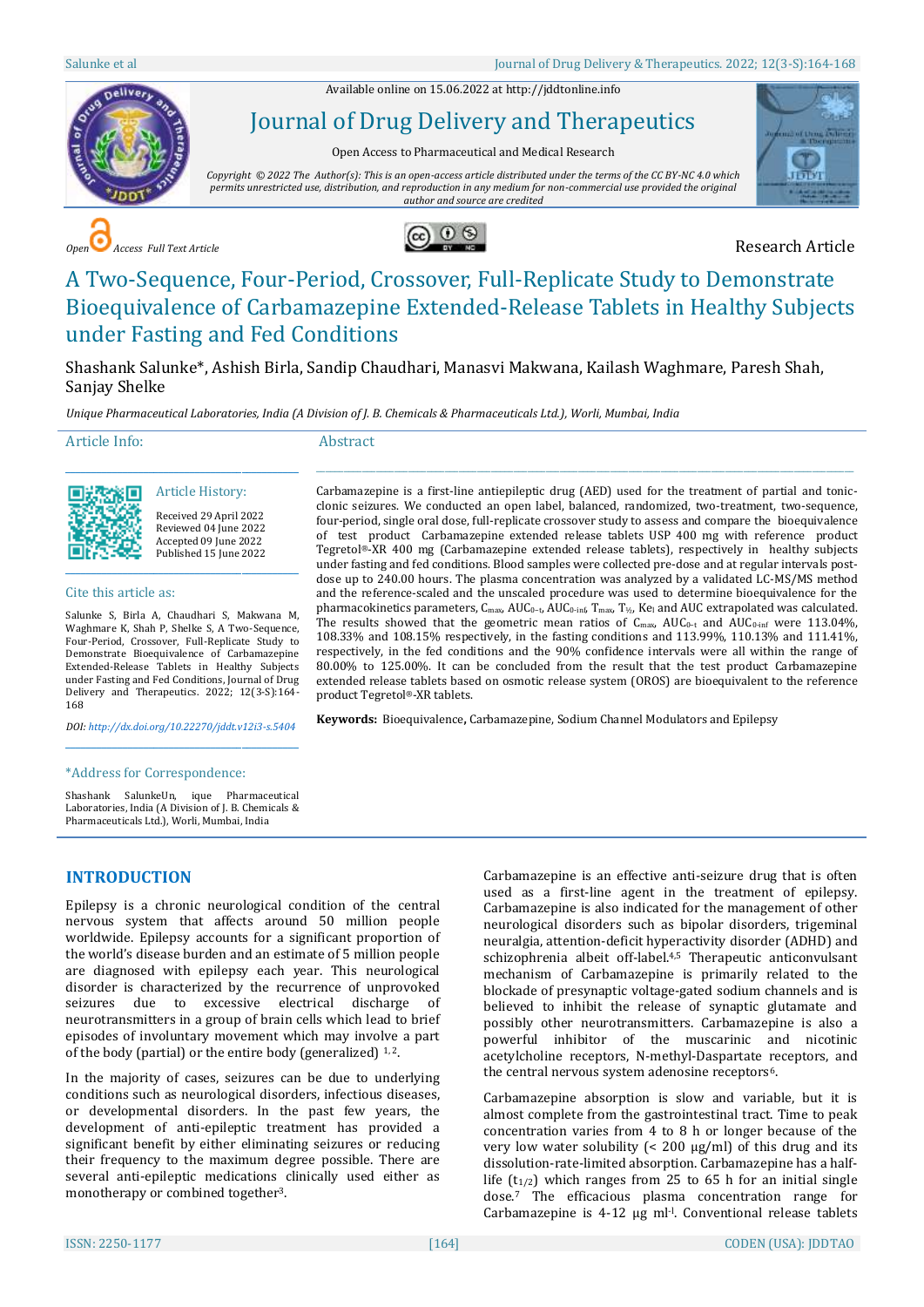Available online on 15.06.2022 a[t http://jddtonline.info](http://jddtonline.info/)



Journal of Drug Delivery and Therapeutics

Open Access to Pharmaceutical and Medical Research

*Copyright © 2022 The Author(s): This is an open-access article distributed under the terms of the CC BY-NC 4.0 which permits unrestricted use, distribution, and reproduction in any medium for non-commercial use provided the original author and source are credited*



**COPEN EXECUTER RESEARCH Article Research Article** 



# A Two-Sequence, Four-Period, Crossover, Full-Replicate Study to Demonstrate Bioequivalence of Carbamazepine Extended-Release Tablets in Healthy Subjects under Fasting and Fed Conditions

Shashank Salunke\*, Ashish Birla, Sandip Chaudhari, Manasvi Makwana, Kailash Waghmare, Paresh Shah, Sanjay Shelke

*Unique Pharmaceutical Laboratories, India (A Division of J. B. Chemicals & Pharmaceuticals Ltd.), Worli, Mumbai, India*

Article Info:

Abstract



# Article History:

\_\_\_\_\_\_\_\_\_\_\_\_\_\_\_\_\_\_\_\_\_\_\_\_\_\_\_\_\_\_\_\_\_\_\_\_\_\_\_\_\_\_\_\_\_

Received 29 April 2022 Reviewed 04 June 2022 Accepted 09 June 2022 Published 15 June 2022

#### Cite this article as:

Salunke S, Birla A, Chaudhari S, Makwana M, Waghmare K, Shah P, Shelke S, A Two-Sequence, Four-Period, Crossover, Full-Replicate Study to Demonstrate Bioequivalence of Carbamazepine Extended-Release Tablets in Healthy Subjects under Fasting and Fed Conditions, Journal of Drug Delivery and Therapeutics. 2022; 12(3-S):164-168

*DOI[: http://dx.doi.org/10.22270/jddt.v12i3-s.5404](http://dx.doi.org/10.22270/jddt.v12i3-s.5404)*  \_\_\_\_\_\_\_\_\_\_\_\_\_\_\_\_\_\_\_\_\_\_\_\_\_\_\_\_\_\_\_\_\_\_\_\_\_\_\_\_\_\_\_\_\_

#### Carbamazepine is a first-line antiepileptic drug (AED) used for the treatment of partial and tonicclonic seizures. We conducted an open label, balanced, randomized, two-treatment, two-sequence, four-period, single oral dose, full-replicate crossover study to assess and compare the bioequivalence of test product Carbamazepine extended release tablets USP 400 mg with reference product Tegretol®-XR 400 mg (Carbamazepine extended release tablets), respectively in healthy subjects under fasting and fed conditions. Blood samples were collected pre-dose and at regular intervals postdose up to 240.00 hours. The plasma concentration was analyzed by a validated LC-MS/MS method and the reference-scaled and the unscaled procedure was used to determine bioequivalence for the pharmacokinetics parameters, C<sub>max</sub>, AUC<sub>0</sub>-t, AUC<sub>0</sub>-inf, T<sub>max</sub>, T<sub>½</sub>, Ke<sub>l</sub> and AUC extrapolated was calculated. The results showed that the geometric mean ratios of  $C_{\text{max}}$ , AUC<sub>0</sub>-t and AUC<sub>0-inf</sub> were 113.04%, 108.33% and 108.15% respectively, in the fasting conditions and 113.99%, 110.13% and 111.41%, respectively, in the fed conditions and the 90% confidence intervals were all within the range of 80.00% to 125.00%. It can be concluded from the result that the test product Carbamazepine extended release tablets based on osmotic release system (OROS) are bioequivalent to the reference product Tegretol®-XR tablets.

 $\_$  ,  $\_$  ,  $\_$  ,  $\_$  ,  $\_$  ,  $\_$  ,  $\_$  ,  $\_$  ,  $\_$  ,  $\_$  ,  $\_$  ,  $\_$  ,  $\_$  ,  $\_$  ,  $\_$  ,  $\_$  ,  $\_$  ,  $\_$  ,  $\_$  ,  $\_$  ,  $\_$  ,  $\_$  ,  $\_$  ,  $\_$  ,  $\_$  ,  $\_$  ,  $\_$  ,  $\_$  ,  $\_$  ,  $\_$  ,  $\_$  ,  $\_$  ,  $\_$  ,  $\_$  ,  $\_$  ,  $\_$  ,  $\_$  ,

**Keywords:** Bioequivalence**,** Carbamazepine, Sodium Channel Modulators and Epilepsy

#### \*Address for Correspondence:

Shashank SalunkeUn, ique Pharmaceutical Laboratories, India (A Division of J. B. Chemicals & Pharmaceuticals Ltd.), Worli, Mumbai, India

# **INTRODUCTION**

Epilepsy is a chronic neurological condition of the central nervous system that affects around 50 million people worldwide. Epilepsy accounts for a significant proportion of the world's disease burden and an estimate of 5 million people are diagnosed with epilepsy each year. This neurological disorder is characterized by the recurrence of unprovoked seizures due to excessive electrical discharge of neurotransmitters in a group of brain cells which lead to brief episodes of involuntary movement which may involve a part of the body (partial) or the entire body (generalized)  $1, 2$ .

In the majority of cases, seizures can be due to underlying conditions such as neurological disorders, infectious diseases, or developmental disorders. In the past few years, the development of anti-epileptic treatment has provided a significant benefit by either eliminating seizures or reducing their frequency to the maximum degree possible. There are several anti-epileptic medications clinically used either as monotherapy or combined together3.

Carbamazepine is an effective anti-seizure drug that is often used as a first-line agent in the treatment of epilepsy. Carbamazepine is also indicated for the management of other neurological disorders such as bipolar disorders, trigeminal neuralgia, attention-deficit hyperactivity disorder (ADHD) and schizophrenia albeit off-label. 4,5 Therapeutic anticonvulsant mechanism of Carbamazepine is primarily related to the blockade of presynaptic voltage-gated sodium channels and is believed to inhibit the release of synaptic glutamate and possibly other neurotransmitters. Carbamazepine is also a powerful inhibitor of the muscarinic and nicotinic acetylcholine receptors, N-methyl-Daspartate receptors, and the central nervous system adenosine receptors<sup>6</sup>.

Carbamazepine absorption is slow and variable, but it is almost complete from the gastrointestinal tract. Time to peak concentration varies from 4 to 8 h or longer because of the very low water solubility (< 200 µg/ml) of this drug and its dissolution-rate-limited absorption. Carbamazepine has a halflife  $(t_{1/2})$  which ranges from 25 to 65 h for an initial single dose.<sup>7</sup> The efficacious plasma concentration range for Carbamazepine is 4-12 µg ml<sup>-1</sup>. Conventional release tablets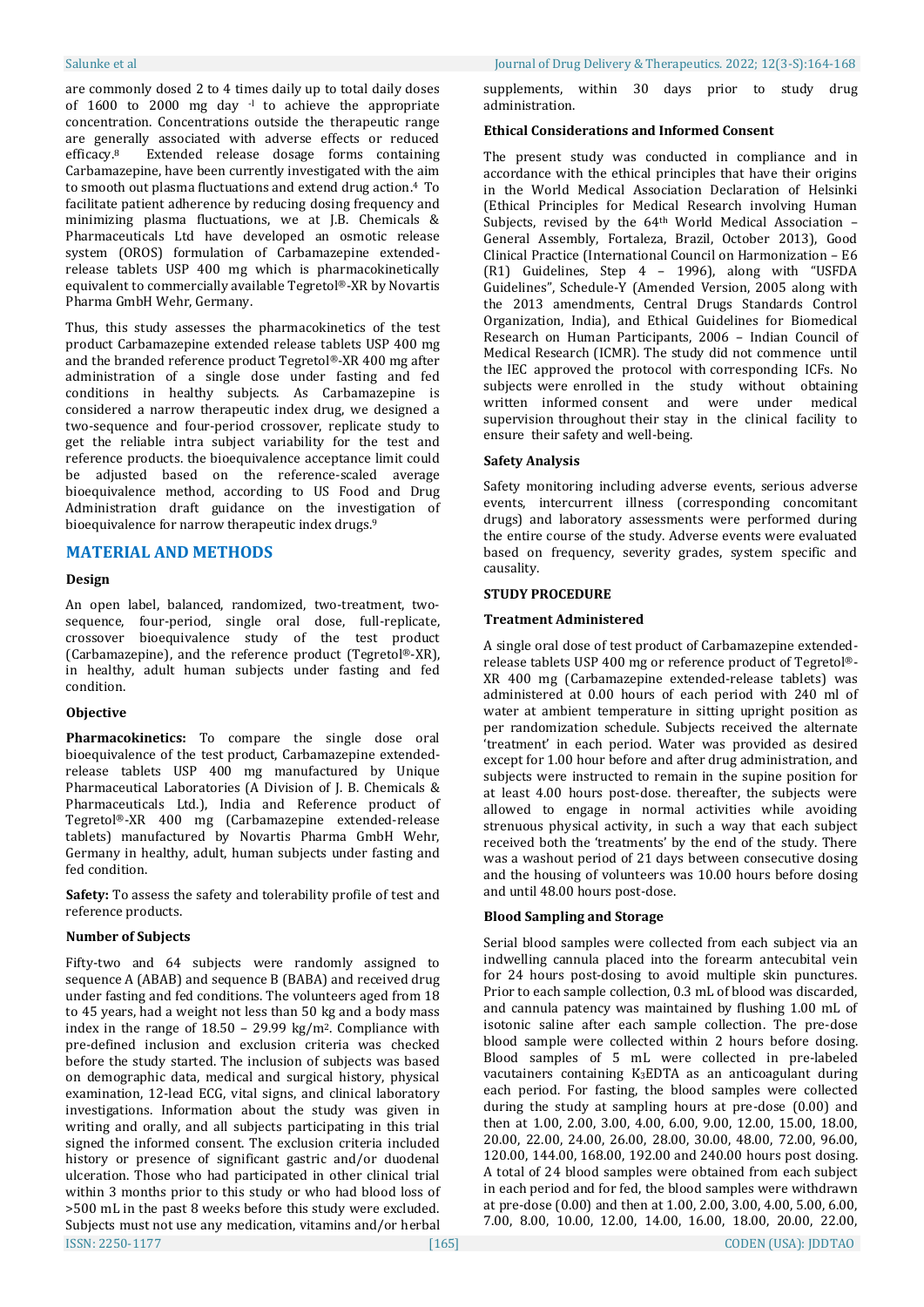are commonly dosed 2 to 4 times daily up to total daily doses of 1600 to 2000 mg day <sup>-1</sup> to achieve the appropriate concentration. Concentrations outside the therapeutic range are generally associated with adverse effects or reduced efficacy. Extended release dosage forms containing Carbamazepine, have been currently investigated with the aim to smooth out plasma fluctuations and extend drug action. <sup>4</sup> To facilitate patient adherence by reducing dosing frequency and minimizing plasma fluctuations, we at J.B. Chemicals & Pharmaceuticals Ltd have developed an osmotic release system (OROS) formulation of Carbamazepine extendedrelease tablets USP 400 mg which is pharmacokinetically equivalent to commercially available Tegretol®-XR by Novartis Pharma GmbH Wehr, Germany.

Thus, this study assesses the pharmacokinetics of the test product Carbamazepine extended release tablets USP 400 mg and the branded reference product Tegretol®-XR 400 mg after administration of a single dose under fasting and fed conditions in healthy subjects. As Carbamazepine is considered a narrow therapeutic index drug, we designed a two-sequence and four-period crossover, replicate study to get the reliable intra subject variability for the test and reference products. the bioequivalence acceptance limit could be adjusted based on the reference-scaled average bioequivalence method, according to US Food and Drug Administration draft guidance on the investigation of bioequivalence for narrow therapeutic index drugs.<sup>9</sup>

## **MATERIAL AND METHODS**

#### **Design**

An open label, balanced, randomized, two-treatment, twosequence, four-period, single oral dose, full-replicate, crossover bioequivalence study of the test product (Carbamazepine), and the reference product (Tegretol®-XR), in healthy, adult human subjects under fasting and fed condition.

#### **Objective**

Pharmacokinetics: To compare the single dose oral bioequivalence of the test product, Carbamazepine extendedrelease tablets USP 400 mg manufactured by Unique Pharmaceutical Laboratories (A Division of J. B. Chemicals & Pharmaceuticals Ltd.), India and Reference product of Tegretol®-XR 400 mg (Carbamazepine extended-release tablets) manufactured by Novartis Pharma GmbH Wehr, Germany in healthy, adult, human subjects under fasting and fed condition.

**Safety:** To assess the safety and tolerability profile of test and reference products.

#### **Number of Subjects**

ISSN: 2250-1177 [165] CODEN (USA): JDDTAO Fifty-two and 64 subjects were randomly assigned to sequence A (ABAB) and sequence B (BABA) and received drug under fasting and fed conditions. The volunteers aged from 18 to 45 years, had a weight not less than 50 kg and a body mass index in the range of 18.50 – 29.99 kg/m2. Compliance with pre-defined inclusion and exclusion criteria was checked before the study started. The inclusion of subjects was based on demographic data, medical and surgical history, physical examination, 12-lead ECG, vital signs, and clinical laboratory investigations. Information about the study was given in writing and orally, and all subjects participating in this trial signed the informed consent. The exclusion criteria included history or presence of significant gastric and/or duodenal ulceration. Those who had participated in other clinical trial within 3 months prior to this study or who had blood loss of >500 mL in the past 8 weeks before this study were excluded. Subjects must not use any medication, vitamins and/or herbal

supplements, within 30 days prior to study drug administration.

#### **Ethical Considerations and Informed Consent**

The present study was conducted in compliance and in accordance with the ethical principles that have their origins in the World Medical Association Declaration of Helsinki (Ethical Principles for Medical Research involving Human Subjects, revised by the 64th World Medical Association – General Assembly, Fortaleza, Brazil, October 2013), Good Clinical Practice (International Council on Harmonization – E6 (R1) Guidelines, Step 4 – 1996), along with "USFDA Guidelines", Schedule-Y (Amended Version, 2005 along with the 2013 amendments, Central Drugs Standards Control Organization, India), and Ethical Guidelines for Biomedical Research on Human Participants, 2006 – Indian Council of Medical Research (ICMR). The study did not commence until the IEC approved the protocol with corresponding ICFs. No subjects were enrolled in the study without obtaining written informed consent and were under medical supervision throughout their stay in the clinical facility to ensure their safety and well-being.

### **Safety Analysis**

Safety monitoring including adverse events, serious adverse events, intercurrent illness (corresponding concomitant drugs) and laboratory assessments were performed during the entire course of the study. Adverse events were evaluated based on frequency, severity grades, system specific and causality.

#### **STUDY PROCEDURE**

#### **Treatment Administered**

A single oral dose of test product of Carbamazepine extendedrelease tablets USP 400 mg or reference product of Tegretol®- XR 400 mg (Carbamazepine extended-release tablets) was administered at 0.00 hours of each period with 240 ml of water at ambient temperature in sitting upright position as per randomization schedule. Subjects received the alternate 'treatment' in each period. Water was provided as desired except for 1.00 hour before and after drug administration, and subjects were instructed to remain in the supine position for at least 4.00 hours post-dose. thereafter, the subjects were allowed to engage in normal activities while avoiding strenuous physical activity, in such a way that each subject received both the 'treatments' by the end of the study. There was a washout period of 21 days between consecutive dosing and the housing of volunteers was 10.00 hours before dosing and until 48.00 hours post-dose.

### **Blood Sampling and Storage**

Serial blood samples were collected from each subject via an indwelling cannula placed into the forearm antecubital vein for 24 hours post-dosing to avoid multiple skin punctures. Prior to each sample collection, 0.3 mL of blood was discarded, and cannula patency was maintained by flushing 1.00 mL of isotonic saline after each sample collection. The pre-dose blood sample were collected within 2 hours before dosing. Blood samples of 5 mL were collected in pre-labeled vacutainers containing K3EDTA as an anticoagulant during each period. For fasting, the blood samples were collected during the study at sampling hours at pre-dose (0.00) and then at 1.00, 2.00, 3.00, 4.00, 6.00, 9.00, 12.00, 15.00, 18.00, 20.00, 22.00, 24.00, 26.00, 28.00, 30.00, 48.00, 72.00, 96.00, 120.00, 144.00, 168.00, 192.00 and 240.00 hours post dosing. A total of 24 blood samples were obtained from each subject in each period and for fed, the blood samples were withdrawn at pre-dose (0.00) and then at 1.00, 2.00, 3.00, 4.00, 5.00, 6.00, 7.00, 8.00, 10.00, 12.00, 14.00, 16.00, 18.00, 20.00, 22.00,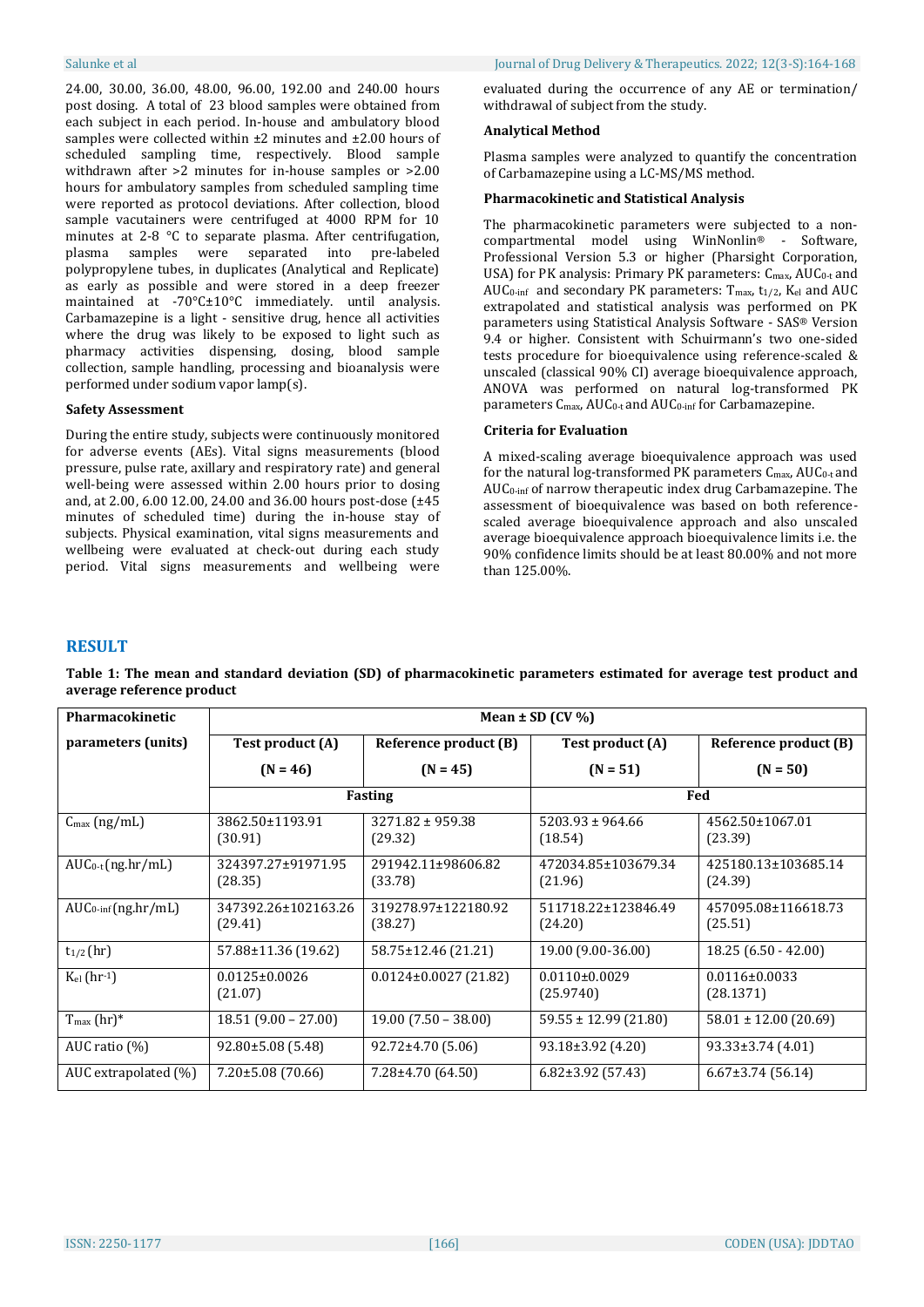24.00, 30.00, 36.00, 48.00, 96.00, 192.00 and 240.00 hours post dosing. A total of 23 blood samples were obtained from each subject in each period. In-house and ambulatory blood samples were collected within ±2 minutes and ±2.00 hours of scheduled sampling time, respectively. Blood sample withdrawn after >2 minutes for in-house samples or >2.00 hours for ambulatory samples from scheduled sampling time were reported as protocol deviations. After collection, blood sample vacutainers were centrifuged at 4000 RPM for 10 minutes at 2-8 °C to separate plasma. After centrifugation, plasma samples were separated into pre-labeled polypropylene tubes, in duplicates (Analytical and Replicate) as early as possible and were stored in a deep freezer maintained at -70°C±10°C immediately. until analysis. Carbamazepine is a light - sensitive drug, hence all activities where the drug was likely to be exposed to light such as pharmacy activities dispensing, dosing, blood sample collection, sample handling, processing and bioanalysis were performed under sodium vapor lamp(s).

#### **Safety Assessment**

During the entire study, subjects were continuously monitored for adverse events (AEs). Vital signs measurements (blood pressure, pulse rate, axillary and respiratory rate) and general well-being were assessed within 2.00 hours prior to dosing and, at 2.00, 6.00 12.00, 24.00 and 36.00 hours post-dose (±45 minutes of scheduled time) during the in-house stay of subjects. Physical examination, vital signs measurements and wellbeing were evaluated at check-out during each study period. Vital signs measurements and wellbeing were evaluated during the occurrence of any AE or termination/ withdrawal of subject from the study.

## **Analytical Method**

Plasma samples were analyzed to quantify the concentration of Carbamazepine using a LC-MS/MS method.

#### **Pharmacokinetic and Statistical Analysis**

The pharmacokinetic parameters were subjected to a noncompartmental model using WinNonlin® - Software, Professional Version 5.3 or higher (Pharsight Corporation, USA) for PK analysis: Primary PK parameters:  $C_{\text{max}}$ , AU $C_{0-t}$  and AUC<sub>0-inf</sub> and secondary PK parameters:  $T_{\text{max}}$ ,  $t_{1/2}$ ,  $K_{el}$  and AUC extrapolated and statistical analysis was performed on PK parameters using Statistical Analysis Software - SAS® Version 9.4 or higher. Consistent with Schuirmann's two one-sided tests procedure for bioequivalence using reference-scaled & unscaled (classical 90% CI) average bioequivalence approach, ANOVA was performed on natural log-transformed PK parameters Cmax, AUC0-t and AUC0-inf for Carbamazepine.

## **Criteria for Evaluation**

A mixed-scaling average bioequivalence approach was used for the natural log-transformed PK parameters C<sub>max</sub>, AUC<sub>0-t</sub> and AUC0-inf of narrow therapeutic index drug Carbamazepine. The assessment of bioequivalence was based on both referencescaled average bioequivalence approach and also unscaled average bioequivalence approach bioequivalence limits i.e. the 90% confidence limits should be at least 80.00% and not more than 125.00%.

## **RESULT**

| <b>Pharmacokinetic</b>         | Mean $\pm$ SD (CV %)           |                                 |                                 |                                  |
|--------------------------------|--------------------------------|---------------------------------|---------------------------------|----------------------------------|
| parameters (units)             | Test product (A)               | Reference product (B)           | Test product (A)                | Reference product (B)            |
|                                | $(N = 46)$                     | $(N = 45)$                      | $(N = 51)$                      | $(N = 50)$                       |
|                                | <b>Fasting</b>                 |                                 | Fed                             |                                  |
| $C_{\text{max}}$ (ng/mL)       | 3862.50±1193.91<br>(30.91)     | $3271.82 \pm 959.38$<br>(29.32) | $5203.93 \pm 964.66$<br>(18.54) | 4562.50±1067.01<br>(23.39)       |
| $AUC_{0-t}(ng/hr/mL)$          | 324397.27±91971.95<br>(28.35)  | 291942.11±98606.82<br>(33.78)   | 472034.85±103679.34<br>(21.96)  | 425180.13±103685.14<br>(24.39)   |
| $AUC_{0\text{-inf}}(ng/hr/mL)$ | 347392.26±102163.26<br>(29.41) | 319278.97±122180.92<br>(38.27)  | 511718.22±123846.49<br>(24.20)  | 457095.08±116618.73<br>(25.51)   |
| $t_{1/2}$ (hr)                 | 57.88±11.36 (19.62)            | 58.75±12.46 (21.21)             | 19.00 (9.00-36.00)              | $18.25(6.50 - 42.00)$            |
| $K_{el}$ (hr-1)                | $0.0125 \pm 0.0026$<br>(21.07) | $0.0124 \pm 0.0027$ (21.82)     | $0.0110\pm0.0029$<br>(25.9740)  | $0.0116 \pm 0.0033$<br>(28.1371) |
| $T_{\text{max}}$ (hr)*         | $18.51(9.00 - 27.00)$          | $19.00$ (7.50 – 38.00)          | $59.55 \pm 12.99$ (21.80)       | $58.01 \pm 12.00$ (20.69)        |
| AUC ratio $(\%)$               | 92.80±5.08 (5.48)              | $92.72 \pm 4.70$ (5.06)         | $93.18 \pm 3.92$ (4.20)         | 93.33±3.74 (4.01)                |
| AUC extrapolated (%)           | $7.20 \pm 5.08$ (70.66)        | 7.28±4.70 (64.50)               | $6.82\pm3.92$ (57.43)           | $6.67\pm3.74$ (56.14)            |

**Table 1: The mean and standard deviation (SD) of pharmacokinetic parameters estimated for average test product and average reference product**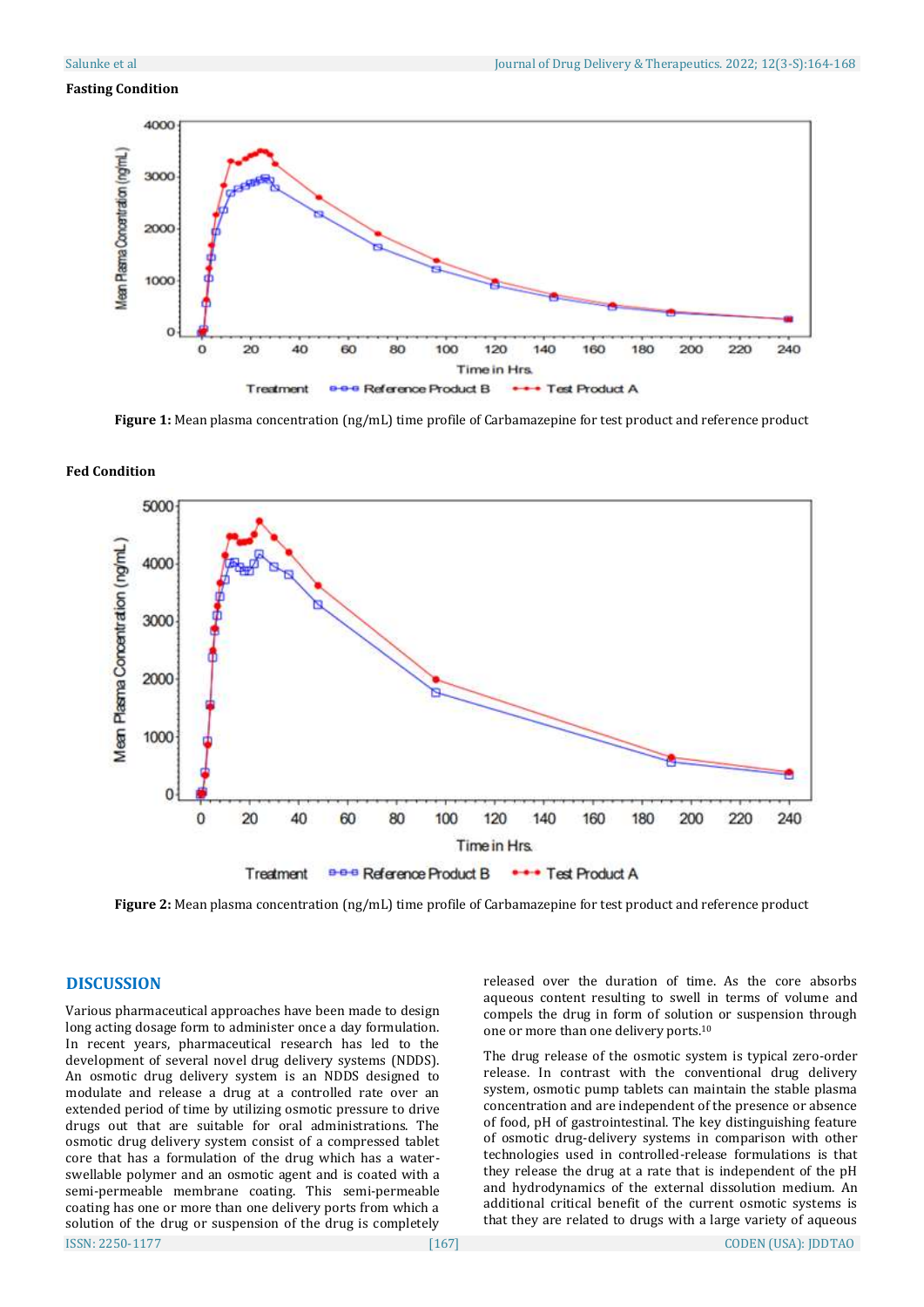#### **Fasting Condition**



**Figure 1:** Mean plasma concentration (ng/mL) time profile of Carbamazepine for test product and reference product



#### **Fed Condition**

**Figure 2:** Mean plasma concentration (ng/mL) time profile of Carbamazepine for test product and reference product

# **DISCUSSION**

ISSN: 2250-1177 [167] CODEN (USA): JDDTAO Various pharmaceutical approaches have been made to design long acting dosage form to administer once a day formulation. In recent years, pharmaceutical research has led to the development of several novel drug delivery systems (NDDS). An osmotic drug delivery system is an NDDS designed to modulate and release a drug at a controlled rate over an extended period of time by utilizing osmotic pressure to drive drugs out that are suitable for oral administrations. The osmotic drug delivery system consist of a compressed tablet core that has a formulation of the drug which has a waterswellable polymer and an osmotic agent and is coated with a semi-permeable membrane coating. This semi-permeable coating has one or more than one delivery ports from which a solution of the drug or suspension of the drug is completely

released over the duration of time. As the core absorbs aqueous content resulting to swell in terms of volume and compels the drug in form of solution or suspension through one or more than one delivery ports. 10

The drug release of the osmotic system is typical zero-order release. In contrast with the conventional drug delivery system, osmotic pump tablets can maintain the stable plasma concentration and are independent of the presence or absence of food, pH of gastrointestinal. The key distinguishing feature of osmotic drug-delivery systems in comparison with other technologies used in controlled-release formulations is that they release the drug at a rate that is independent of the pH and hydrodynamics of the external dissolution medium. An additional critical benefit of the current osmotic systems is that they are related to drugs with a large variety of aqueous